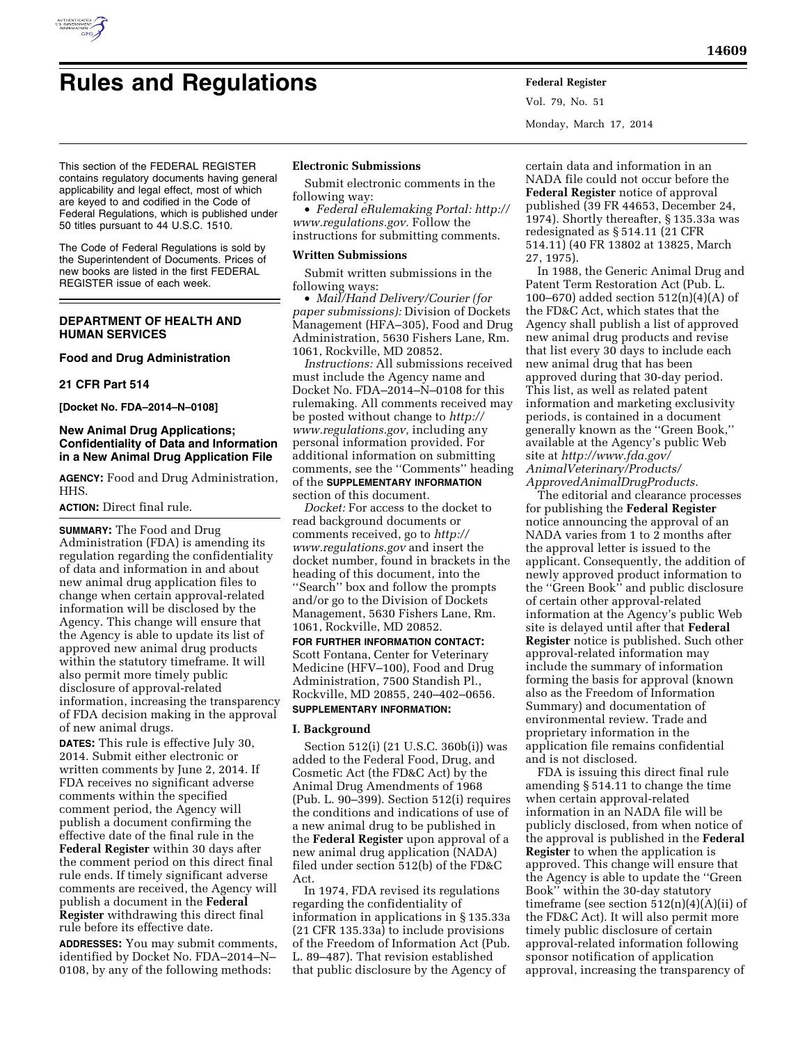

Vol. 79, No. 51 Monday, March 17, 2014

This section of the FEDERAL REGISTER contains regulatory documents having general applicability and legal effect, most of which are keyed to and codified in the Code of Federal Regulations, which is published under 50 titles pursuant to 44 U.S.C. 1510.

The Code of Federal Regulations is sold by the Superintendent of Documents. Prices of new books are listed in the first FEDERAL REGISTER issue of each week.

# **DEPARTMENT OF HEALTH AND HUMAN SERVICES**

### **Food and Drug Administration**

#### **21 CFR Part 514**

**[Docket No. FDA–2014–N–0108]** 

## **New Animal Drug Applications; Confidentiality of Data and Information in a New Animal Drug Application File**

**AGENCY:** Food and Drug Administration, HHS.

### **ACTION:** Direct final rule.

**SUMMARY:** The Food and Drug Administration (FDA) is amending its regulation regarding the confidentiality of data and information in and about new animal drug application files to change when certain approval-related information will be disclosed by the Agency. This change will ensure that the Agency is able to update its list of approved new animal drug products within the statutory timeframe. It will also permit more timely public disclosure of approval-related information, increasing the transparency of FDA decision making in the approval of new animal drugs.

**DATES:** This rule is effective July 30, 2014. Submit either electronic or written comments by June 2, 2014. If FDA receives no significant adverse comments within the specified comment period, the Agency will publish a document confirming the effective date of the final rule in the **Federal Register** within 30 days after the comment period on this direct final rule ends. If timely significant adverse comments are received, the Agency will publish a document in the **Federal Register** withdrawing this direct final rule before its effective date.

**ADDRESSES:** You may submit comments, identified by Docket No. FDA–2014–N– 0108, by any of the following methods:

### **Electronic Submissions**

Submit electronic comments in the following way:

• *Federal eRulemaking Portal: [http://](http://www.regulations.gov)  [www.regulations.gov.](http://www.regulations.gov)* Follow the instructions for submitting comments.

#### **Written Submissions**

Submit written submissions in the following ways:

• *Mail/Hand Delivery/Courier (for paper submissions):* Division of Dockets Management (HFA–305), Food and Drug Administration, 5630 Fishers Lane, Rm. 1061, Rockville, MD 20852.

*Instructions:* All submissions received must include the Agency name and Docket No. FDA–2014–N–0108 for this rulemaking. All comments received may be posted without change to *[http://](http://www.regulations.gov) [www.regulations.gov,](http://www.regulations.gov)* including any personal information provided. For additional information on submitting comments, see the ''Comments'' heading of the **SUPPLEMENTARY INFORMATION** section of this document.

*Docket:* For access to the docket to read background documents or comments received, go to *[http://](http://www.regulations.gov) [www.regulations.gov](http://www.regulations.gov)* and insert the docket number, found in brackets in the heading of this document, into the ''Search'' box and follow the prompts and/or go to the Division of Dockets Management, 5630 Fishers Lane, Rm. 1061, Rockville, MD 20852.

# **FOR FURTHER INFORMATION CONTACT:**  Scott Fontana, Center for Veterinary Medicine (HFV–100), Food and Drug Administration, 7500 Standish Pl., Rockville, MD 20855, 240–402–0656.

## **SUPPLEMENTARY INFORMATION:**

### **I. Background**

Section 512(i) (21 U.S.C. 360b(i)) was added to the Federal Food, Drug, and Cosmetic Act (the FD&C Act) by the Animal Drug Amendments of 1968 (Pub. L. 90–399). Section 512(i) requires the conditions and indications of use of a new animal drug to be published in the **Federal Register** upon approval of a new animal drug application (NADA) filed under section 512(b) of the FD&C Act.

In 1974, FDA revised its regulations regarding the confidentiality of information in applications in § 135.33a (21 CFR 135.33a) to include provisions of the Freedom of Information Act (Pub. L. 89–487). That revision established that public disclosure by the Agency of

certain data and information in an NADA file could not occur before the **Federal Register** notice of approval published (39 FR 44653, December 24, 1974). Shortly thereafter, § 135.33a was redesignated as § 514.11 (21 CFR 514.11) (40 FR 13802 at 13825, March 27, 1975).

In 1988, the Generic Animal Drug and Patent Term Restoration Act (Pub. L. 100–670) added section 512(n)(4)(A) of the FD&C Act, which states that the Agency shall publish a list of approved new animal drug products and revise that list every 30 days to include each new animal drug that has been approved during that 30-day period. This list, as well as related patent information and marketing exclusivity periods, is contained in a document generally known as the ''Green Book,'' available at the Agency's public Web site at *[http://www.fda.gov/](http://www.fda.gov/AnimalVeterinary/Products/ApprovedAnimalDrugProducts) [AnimalVeterinary/Products/](http://www.fda.gov/AnimalVeterinary/Products/ApprovedAnimalDrugProducts) [ApprovedAnimalDrugProducts.](http://www.fda.gov/AnimalVeterinary/Products/ApprovedAnimalDrugProducts)* 

The editorial and clearance processes for publishing the **Federal Register**  notice announcing the approval of an NADA varies from 1 to 2 months after the approval letter is issued to the applicant. Consequently, the addition of newly approved product information to the ''Green Book'' and public disclosure of certain other approval-related information at the Agency's public Web site is delayed until after that **Federal Register** notice is published. Such other approval-related information may include the summary of information forming the basis for approval (known also as the Freedom of Information Summary) and documentation of environmental review. Trade and proprietary information in the application file remains confidential and is not disclosed.

FDA is issuing this direct final rule amending § 514.11 to change the time when certain approval-related information in an NADA file will be publicly disclosed, from when notice of the approval is published in the **Federal Register** to when the application is approved. This change will ensure that the Agency is able to update the ''Green Book'' within the 30-day statutory time frame (see section  $512(n)(4)(A)(ii)$  of the FD&C Act). It will also permit more timely public disclosure of certain approval-related information following sponsor notification of application approval, increasing the transparency of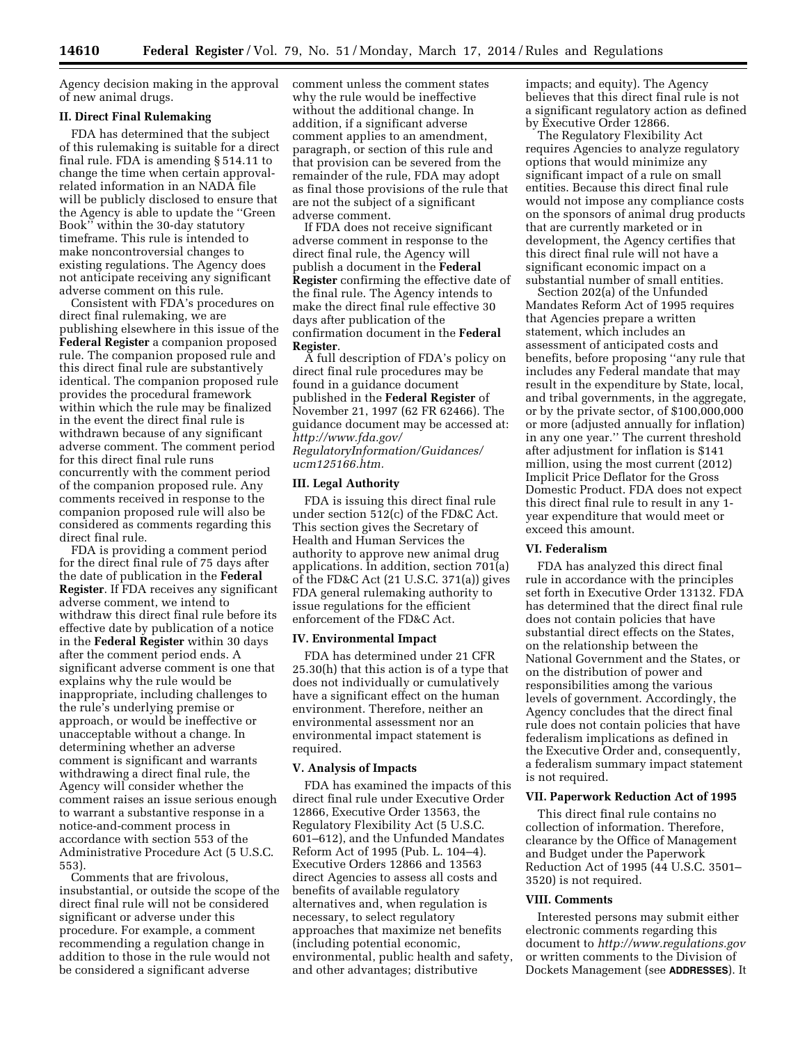Agency decision making in the approval of new animal drugs.

### **II. Direct Final Rulemaking**

FDA has determined that the subject of this rulemaking is suitable for a direct final rule. FDA is amending § 514.11 to change the time when certain approvalrelated information in an NADA file will be publicly disclosed to ensure that the Agency is able to update the ''Green Book'' within the 30-day statutory timeframe. This rule is intended to make noncontroversial changes to existing regulations. The Agency does not anticipate receiving any significant adverse comment on this rule.

Consistent with FDA's procedures on direct final rulemaking, we are publishing elsewhere in this issue of the **Federal Register** a companion proposed rule. The companion proposed rule and this direct final rule are substantively identical. The companion proposed rule provides the procedural framework within which the rule may be finalized in the event the direct final rule is withdrawn because of any significant adverse comment. The comment period for this direct final rule runs concurrently with the comment period of the companion proposed rule. Any comments received in response to the companion proposed rule will also be considered as comments regarding this direct final rule.

FDA is providing a comment period for the direct final rule of 75 days after the date of publication in the **Federal Register**. If FDA receives any significant adverse comment, we intend to withdraw this direct final rule before its effective date by publication of a notice in the **Federal Register** within 30 days after the comment period ends. A significant adverse comment is one that explains why the rule would be inappropriate, including challenges to the rule's underlying premise or approach, or would be ineffective or unacceptable without a change. In determining whether an adverse comment is significant and warrants withdrawing a direct final rule, the Agency will consider whether the comment raises an issue serious enough to warrant a substantive response in a notice-and-comment process in accordance with section 553 of the Administrative Procedure Act (5 U.S.C. 553).

Comments that are frivolous, insubstantial, or outside the scope of the direct final rule will not be considered significant or adverse under this procedure. For example, a comment recommending a regulation change in addition to those in the rule would not be considered a significant adverse

comment unless the comment states why the rule would be ineffective without the additional change. In addition, if a significant adverse comment applies to an amendment, paragraph, or section of this rule and that provision can be severed from the remainder of the rule, FDA may adopt as final those provisions of the rule that are not the subject of a significant adverse comment.

If FDA does not receive significant adverse comment in response to the direct final rule, the Agency will publish a document in the **Federal Register** confirming the effective date of the final rule. The Agency intends to make the direct final rule effective 30 days after publication of the confirmation document in the **Federal Register**.

A full description of FDA's policy on direct final rule procedures may be found in a guidance document published in the **Federal Register** of November 21, 1997 (62 FR 62466). The guidance document may be accessed at: *[http://www.fda.gov/](http://www.fda.gov/RegulatoryInformation/Guidances/ucm125166.htm) [RegulatoryInformation/Guidances/](http://www.fda.gov/RegulatoryInformation/Guidances/ucm125166.htm) [ucm125166.htm.](http://www.fda.gov/RegulatoryInformation/Guidances/ucm125166.htm)* 

#### **III. Legal Authority**

FDA is issuing this direct final rule under section 512(c) of the FD&C Act. This section gives the Secretary of Health and Human Services the authority to approve new animal drug applications. In addition, section 701(a) of the FD&C Act (21 U.S.C. 371(a)) gives FDA general rulemaking authority to issue regulations for the efficient enforcement of the FD&C Act.

#### **IV. Environmental Impact**

FDA has determined under 21 CFR 25.30(h) that this action is of a type that does not individually or cumulatively have a significant effect on the human environment. Therefore, neither an environmental assessment nor an environmental impact statement is required.

#### **V. Analysis of Impacts**

FDA has examined the impacts of this direct final rule under Executive Order 12866, Executive Order 13563, the Regulatory Flexibility Act (5 U.S.C. 601–612), and the Unfunded Mandates Reform Act of 1995 (Pub. L. 104–4). Executive Orders 12866 and 13563 direct Agencies to assess all costs and benefits of available regulatory alternatives and, when regulation is necessary, to select regulatory approaches that maximize net benefits (including potential economic, environmental, public health and safety, and other advantages; distributive

impacts; and equity). The Agency believes that this direct final rule is not a significant regulatory action as defined by Executive Order 12866.

The Regulatory Flexibility Act requires Agencies to analyze regulatory options that would minimize any significant impact of a rule on small entities. Because this direct final rule would not impose any compliance costs on the sponsors of animal drug products that are currently marketed or in development, the Agency certifies that this direct final rule will not have a significant economic impact on a substantial number of small entities.

Section 202(a) of the Unfunded Mandates Reform Act of 1995 requires that Agencies prepare a written statement, which includes an assessment of anticipated costs and benefits, before proposing ''any rule that includes any Federal mandate that may result in the expenditure by State, local, and tribal governments, in the aggregate, or by the private sector, of \$100,000,000 or more (adjusted annually for inflation) in any one year.'' The current threshold after adjustment for inflation is \$141 million, using the most current (2012) Implicit Price Deflator for the Gross Domestic Product. FDA does not expect this direct final rule to result in any 1 year expenditure that would meet or exceed this amount.

### **VI. Federalism**

FDA has analyzed this direct final rule in accordance with the principles set forth in Executive Order 13132. FDA has determined that the direct final rule does not contain policies that have substantial direct effects on the States, on the relationship between the National Government and the States, or on the distribution of power and responsibilities among the various levels of government. Accordingly, the Agency concludes that the direct final rule does not contain policies that have federalism implications as defined in the Executive Order and, consequently, a federalism summary impact statement is not required.

### **VII. Paperwork Reduction Act of 1995**

This direct final rule contains no collection of information. Therefore, clearance by the Office of Management and Budget under the Paperwork Reduction Act of 1995 (44 U.S.C. 3501– 3520) is not required.

#### **VIII. Comments**

Interested persons may submit either electronic comments regarding this document to *<http://www.regulations.gov>* or written comments to the Division of Dockets Management (see **ADDRESSES**). It